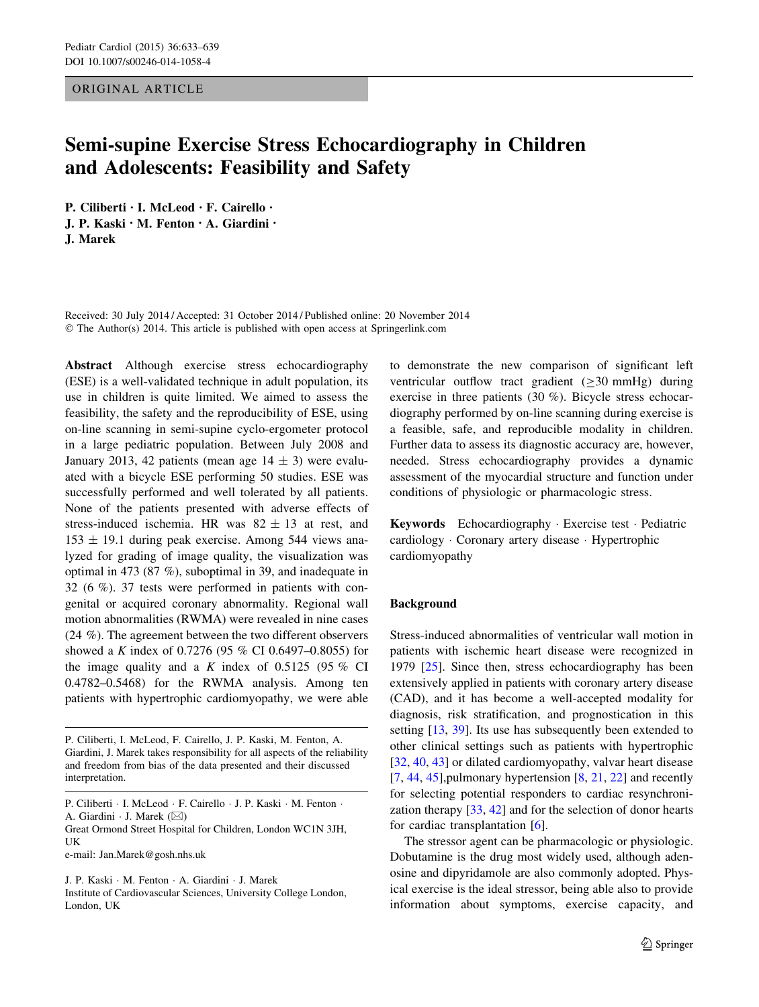# ORIGINAL ARTICLE

# Semi-supine Exercise Stress Echocardiography in Children and Adolescents: Feasibility and Safety

P. Ciliberti • I. McLeod • F. Cairello • J. P. Kaski • M. Fenton • A. Giardini • J. Marek

Received: 30 July 2014 / Accepted: 31 October 2014 / Published online: 20 November 2014 © The Author(s) 2014. This article is published with open access at Springerlink.com

Abstract Although exercise stress echocardiography (ESE) is a well-validated technique in adult population, its use in children is quite limited. We aimed to assess the feasibility, the safety and the reproducibility of ESE, using on-line scanning in semi-supine cyclo-ergometer protocol in a large pediatric population. Between July 2008 and January 2013, 42 patients (mean age  $14 \pm 3$ ) were evaluated with a bicycle ESE performing 50 studies. ESE was successfully performed and well tolerated by all patients. None of the patients presented with adverse effects of stress-induced ischemia. HR was  $82 \pm 13$  at rest, and  $153 \pm 19.1$  during peak exercise. Among 544 views analyzed for grading of image quality, the visualization was optimal in 473 (87 %), suboptimal in 39, and inadequate in 32 (6 %). 37 tests were performed in patients with congenital or acquired coronary abnormality. Regional wall motion abnormalities (RWMA) were revealed in nine cases (24 %). The agreement between the two different observers showed a K index of 0.7276 (95 % CI 0.6497–0.8055) for the image quality and a K index of  $0.5125$  (95 % CI 0.4782–0.5468) for the RWMA analysis. Among ten patients with hypertrophic cardiomyopathy, we were able

P. Ciliberti, I. McLeod, F. Cairello, J. P. Kaski, M. Fenton, A. Giardini, J. Marek takes responsibility for all aspects of the reliability and freedom from bias of the data presented and their discussed interpretation.

Great Ormond Street Hospital for Children, London WC1N 3JH, UK

J. P. Kaski - M. Fenton - A. Giardini - J. Marek Institute of Cardiovascular Sciences, University College London, London, UK

to demonstrate the new comparison of significant left ventricular outflow tract gradient  $(\geq 30 \text{ mmHg})$  during exercise in three patients (30 %). Bicycle stress echocardiography performed by on-line scanning during exercise is a feasible, safe, and reproducible modality in children. Further data to assess its diagnostic accuracy are, however, needed. Stress echocardiography provides a dynamic assessment of the myocardial structure and function under conditions of physiologic or pharmacologic stress.

Keywords Echocardiography - Exercise test - Pediatric cardiology - Coronary artery disease - Hypertrophic cardiomyopathy

## Background

Stress-induced abnormalities of ventricular wall motion in patients with ischemic heart disease were recognized in 1979 [[25\]](#page-6-0). Since then, stress echocardiography has been extensively applied in patients with coronary artery disease (CAD), and it has become a well-accepted modality for diagnosis, risk stratification, and prognostication in this setting [\[13](#page-6-0), [39\]](#page-6-0). Its use has subsequently been extended to other clinical settings such as patients with hypertrophic [\[32](#page-6-0), [40](#page-6-0), [43](#page-6-0)] or dilated cardiomyopathy, valvar heart disease  $[7, 44, 45]$  $[7, 44, 45]$  $[7, 44, 45]$  $[7, 44, 45]$  $[7, 44, 45]$ , pulmonary hypertension  $[8, 21, 22]$  $[8, 21, 22]$  $[8, 21, 22]$  $[8, 21, 22]$  $[8, 21, 22]$  $[8, 21, 22]$  and recently for selecting potential responders to cardiac resynchronization therapy [\[33,](#page-6-0) [42\]](#page-6-0) and for the selection of donor hearts for cardiac transplantation [[6\]](#page-5-0).

The stressor agent can be pharmacologic or physiologic. Dobutamine is the drug most widely used, although adenosine and dipyridamole are also commonly adopted. Physical exercise is the ideal stressor, being able also to provide information about symptoms, exercise capacity, and

P. Ciliberti · I. McLeod · F. Cairello · J. P. Kaski · M. Fenton · A. Giardini · J. Marek ( $\boxtimes$ )

e-mail: Jan.Marek@gosh.nhs.uk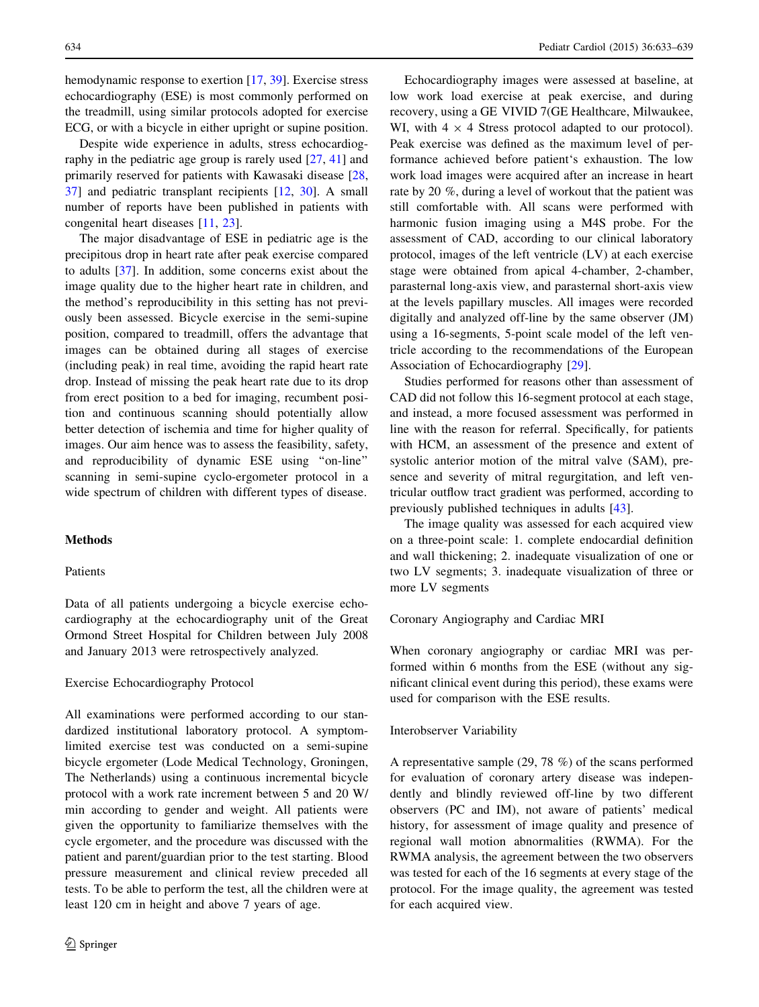hemodynamic response to exertion [[17,](#page-6-0) [39\]](#page-6-0). Exercise stress echocardiography (ESE) is most commonly performed on the treadmill, using similar protocols adopted for exercise ECG, or with a bicycle in either upright or supine position.

Despite wide experience in adults, stress echocardiography in the pediatric age group is rarely used [\[27](#page-6-0), [41\]](#page-6-0) and primarily reserved for patients with Kawasaki disease [[28,](#page-6-0) [37](#page-6-0)] and pediatric transplant recipients [\[12](#page-6-0), [30](#page-6-0)]. A small number of reports have been published in patients with congenital heart diseases [[11,](#page-6-0) [23\]](#page-6-0).

The major disadvantage of ESE in pediatric age is the precipitous drop in heart rate after peak exercise compared to adults [\[37](#page-6-0)]. In addition, some concerns exist about the image quality due to the higher heart rate in children, and the method's reproducibility in this setting has not previously been assessed. Bicycle exercise in the semi-supine position, compared to treadmill, offers the advantage that images can be obtained during all stages of exercise (including peak) in real time, avoiding the rapid heart rate drop. Instead of missing the peak heart rate due to its drop from erect position to a bed for imaging, recumbent position and continuous scanning should potentially allow better detection of ischemia and time for higher quality of images. Our aim hence was to assess the feasibility, safety, and reproducibility of dynamic ESE using ''on-line'' scanning in semi-supine cyclo-ergometer protocol in a wide spectrum of children with different types of disease.

# Methods

# Patients

Data of all patients undergoing a bicycle exercise echocardiography at the echocardiography unit of the Great Ormond Street Hospital for Children between July 2008 and January 2013 were retrospectively analyzed.

### Exercise Echocardiography Protocol

All examinations were performed according to our standardized institutional laboratory protocol. A symptomlimited exercise test was conducted on a semi-supine bicycle ergometer (Lode Medical Technology, Groningen, The Netherlands) using a continuous incremental bicycle protocol with a work rate increment between 5 and 20 W/ min according to gender and weight. All patients were given the opportunity to familiarize themselves with the cycle ergometer, and the procedure was discussed with the patient and parent/guardian prior to the test starting. Blood pressure measurement and clinical review preceded all tests. To be able to perform the test, all the children were at least 120 cm in height and above 7 years of age.

Echocardiography images were assessed at baseline, at low work load exercise at peak exercise, and during recovery, using a GE VIVID 7(GE Healthcare, Milwaukee, WI, with  $4 \times 4$  Stress protocol adapted to our protocol). Peak exercise was defined as the maximum level of performance achieved before patient's exhaustion. The low work load images were acquired after an increase in heart rate by 20 %, during a level of workout that the patient was still comfortable with. All scans were performed with harmonic fusion imaging using a M4S probe. For the assessment of CAD, according to our clinical laboratory protocol, images of the left ventricle (LV) at each exercise stage were obtained from apical 4-chamber, 2-chamber, parasternal long-axis view, and parasternal short-axis view at the levels papillary muscles. All images were recorded digitally and analyzed off-line by the same observer (JM) using a 16-segments, 5-point scale model of the left ventricle according to the recommendations of the European Association of Echocardiography [\[29](#page-6-0)].

Studies performed for reasons other than assessment of CAD did not follow this 16-segment protocol at each stage, and instead, a more focused assessment was performed in line with the reason for referral. Specifically, for patients with HCM, an assessment of the presence and extent of systolic anterior motion of the mitral valve (SAM), presence and severity of mitral regurgitation, and left ventricular outflow tract gradient was performed, according to previously published techniques in adults [[43\]](#page-6-0).

The image quality was assessed for each acquired view on a three-point scale: 1. complete endocardial definition and wall thickening; 2. inadequate visualization of one or two LV segments; 3. inadequate visualization of three or more LV segments

#### Coronary Angiography and Cardiac MRI

When coronary angiography or cardiac MRI was performed within 6 months from the ESE (without any significant clinical event during this period), these exams were used for comparison with the ESE results.

### Interobserver Variability

A representative sample (29, 78 %) of the scans performed for evaluation of coronary artery disease was independently and blindly reviewed off-line by two different observers (PC and IM), not aware of patients' medical history, for assessment of image quality and presence of regional wall motion abnormalities (RWMA). For the RWMA analysis, the agreement between the two observers was tested for each of the 16 segments at every stage of the protocol. For the image quality, the agreement was tested for each acquired view.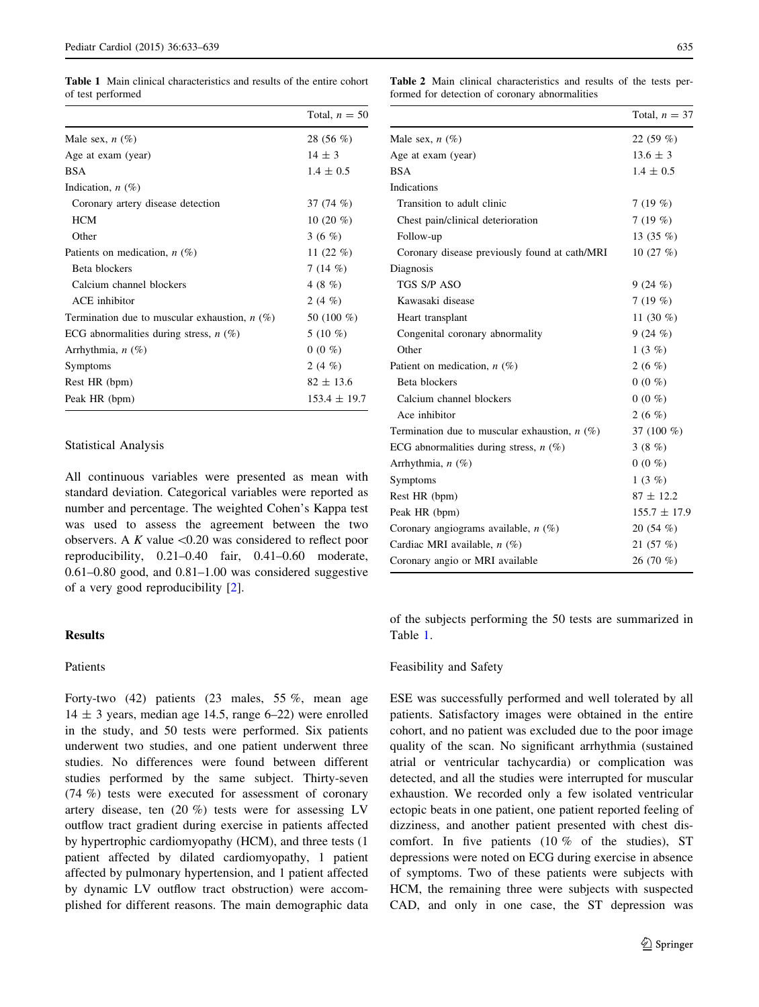<span id="page-2-0"></span>Table 1 Main clinical characteristics and results of the entire cohort of test performed

|                                                 | Total, $n = 50$  |
|-------------------------------------------------|------------------|
| Male sex, $n(\%)$                               | 28 (56 %)        |
| Age at exam (year)                              | $14 \pm 3$       |
| BSA                                             | $1.4 \pm 0.5$    |
| Indication, $n(\%)$                             |                  |
| Coronary artery disease detection               | 37 $(74\%)$      |
| <b>HCM</b>                                      | 10 $(20 \%)$     |
| Other                                           | 3 (6 %)          |
| Patients on medication, $n$ (%)                 | 11 $(22 \%)$     |
| Beta blockers                                   | 7(14%)           |
| Calcium channel blockers                        | 4 (8 %)          |
| ACE inhibitor                                   | 2 $(4 \%)$       |
| Termination due to muscular exhaustion, $n$ (%) | 50 (100 %)       |
| ECG abnormalities during stress, $n$ (%)        | 5 (10 %)         |
| Arrhythmia, $n$ (%)                             | $0(0\%)$         |
| Symptoms                                        | 2 (4 $%$ )       |
| Rest HR (bpm)                                   | $82 \pm 13.6$    |
| Peak HR (bpm)                                   | $153.4 \pm 19.7$ |
|                                                 |                  |

#### Statistical Analysis

All continuous variables were presented as mean with standard deviation. Categorical variables were reported as number and percentage. The weighted Cohen's Kappa test was used to assess the agreement between the two observers. A K value  $\leq 0.20$  was considered to reflect poor reproducibility, 0.21–0.40 fair, 0.41–0.60 moderate, 0.61–0.80 good, and 0.81–1.00 was considered suggestive of a very good reproducibility [\[2](#page-5-0)].

# Results

## Patients

Forty-two (42) patients (23 males, 55 %, mean age  $14 \pm 3$  years, median age 14.5, range 6–22) were enrolled in the study, and 50 tests were performed. Six patients underwent two studies, and one patient underwent three studies. No differences were found between different studies performed by the same subject. Thirty-seven (74 %) tests were executed for assessment of coronary artery disease, ten (20 %) tests were for assessing LV outflow tract gradient during exercise in patients affected by hypertrophic cardiomyopathy (HCM), and three tests (1 patient affected by dilated cardiomyopathy, 1 patient affected by pulmonary hypertension, and 1 patient affected by dynamic LV outflow tract obstruction) were accomplished for different reasons. The main demographic data

Table 2 Main clinical characteristics and results of the tests performed for detection of coronary abnormalities

|                                                 | Total, $n = 37$  |
|-------------------------------------------------|------------------|
| Male sex, $n(\%)$                               | 22 $(59\%)$      |
| Age at exam (year)                              | $13.6 \pm 3$     |
| <b>BSA</b>                                      | $1.4 \pm 0.5$    |
| <b>Indications</b>                              |                  |
| Transition to adult clinic                      | 7(19%)           |
| Chest pain/clinical deterioration               | 7(19%)           |
| Follow-up                                       | 13 $(35\%)$      |
| Coronary disease previously found at cath/MRI   | 10 $(27 \%)$     |
| Diagnosis                                       |                  |
| TGS S/P ASO                                     | 9(24%)           |
| Kawasaki disease                                | 7(19%)           |
| Heart transplant                                | 11 $(30\%$       |
| Congenital coronary abnormality                 | 9(24%)           |
| Other                                           | 1 $(3 \%)$       |
| Patient on medication, $n$ (%)                  | 2 (6 %)          |
| Beta blockers                                   | $0(0\%)$         |
| Calcium channel blockers                        | $0(0\%)$         |
| Ace inhibitor                                   | 2 (6 %)          |
| Termination due to muscular exhaustion, $n$ (%) | 37 $(100\%$      |
| ECG abnormalities during stress, $n$ (%)        | 3 $(8, %)$       |
| Arrhythmia, $n$ (%)                             | $0(0\%)$         |
| Symptoms                                        | 1 $(3 \%)$       |
| Rest HR (bpm)                                   | $87 \pm 12.2$    |
| Peak HR (bpm)                                   | $155.7 \pm 17.9$ |
| Coronary angiograms available, $n$ (%)          | 20(54%)          |
| Cardiac MRI available, $n$ (%)                  | 21 (57 %)        |
| Coronary angio or MRI available                 | $26(70\%)$       |

of the subjects performing the 50 tests are summarized in Table 1.

#### Feasibility and Safety

ESE was successfully performed and well tolerated by all patients. Satisfactory images were obtained in the entire cohort, and no patient was excluded due to the poor image quality of the scan. No significant arrhythmia (sustained atrial or ventricular tachycardia) or complication was detected, and all the studies were interrupted for muscular exhaustion. We recorded only a few isolated ventricular ectopic beats in one patient, one patient reported feeling of dizziness, and another patient presented with chest discomfort. In five patients (10 % of the studies), ST depressions were noted on ECG during exercise in absence of symptoms. Two of these patients were subjects with HCM, the remaining three were subjects with suspected CAD, and only in one case, the ST depression was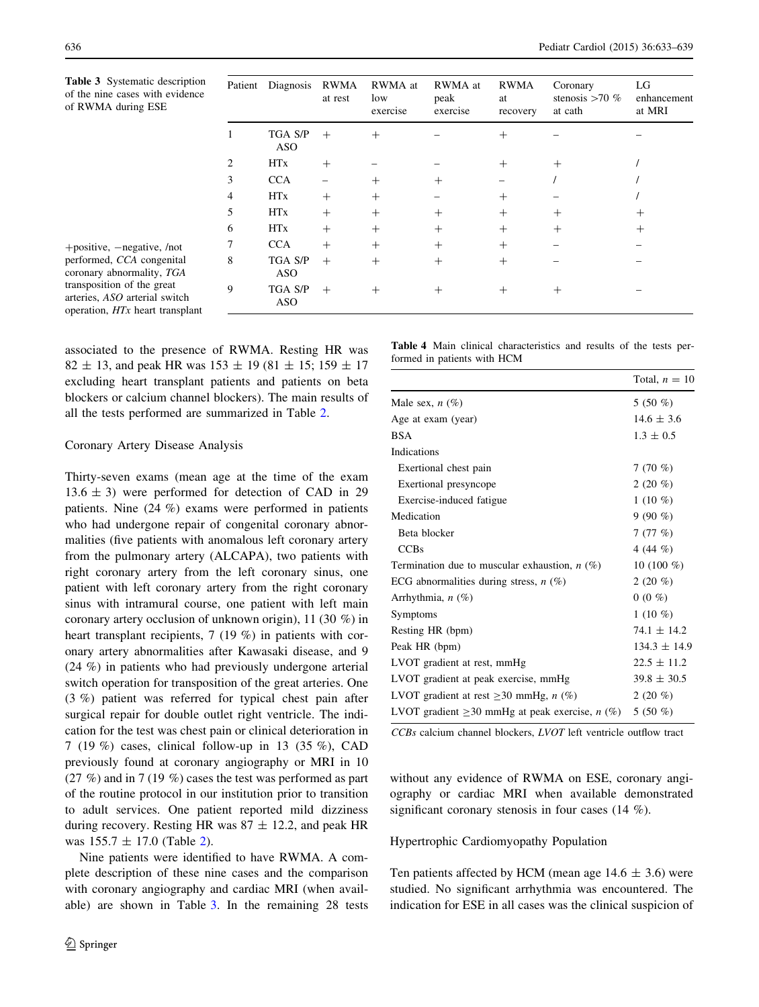<span id="page-3-0"></span>Table 3 Systematic description of the nine cases with evidence of RWMA during ESE

|                | Patient Diagnosis RWMA | at rest | RWMA at<br>low<br>exercise | RWMA at<br>peak<br>exercise | <b>RWMA</b><br>at<br>recovery | Coronary<br>stenosis $>70$ %<br>at cath | LG<br>enhancement<br>at MRI |
|----------------|------------------------|---------|----------------------------|-----------------------------|-------------------------------|-----------------------------------------|-----------------------------|
|                | TGA S/P<br><b>ASO</b>  | $+$     | $^{+}$                     |                             | $^{+}$                        |                                         |                             |
| 2              | <b>HTx</b>             | $^{+}$  |                            |                             | $^+$                          | ┿                                       |                             |
| 3              | <b>CCA</b>             |         | $\pm$                      |                             |                               |                                         |                             |
| $\overline{4}$ | <b>HTx</b>             | $^{+}$  | $^{+}$                     |                             |                               |                                         |                             |
| 5              | <b>HTx</b>             | $^{+}$  | $^{+}$                     | $^+$                        | $^{+}$                        | $^+$                                    | $^+$                        |
| 6              | <b>HTx</b>             | $^{+}$  | $^{+}$                     | $^{+}$                      | $^{+}$                        | $^{+}$                                  | $^{+}$                      |
| 7              | <b>CCA</b>             | $^{+}$  | $^{+}$                     | $^{+}$                      | $^{+}$                        |                                         |                             |
| 8              | TGA S/P<br><b>ASO</b>  | $^{+}$  | $^{+}$                     | $^{+}$                      | $^{+}$                        |                                         |                             |
| 9              | TGA S/P<br><b>ASO</b>  | $^{+}$  | $^+$                       | $\hspace{0.1mm} +$          | ┿                             | ┿                                       |                             |

+positive, -negative, /not performed, CCA congenital coronary abnormality, TGA transposition of the great arteries, ASO arterial switch operation,  $HTx$  heart transplant

associated to the presence of RWMA. Resting HR was  $82 \pm 13$ , and peak HR was  $153 \pm 19$  (81  $\pm 15$ ; 159  $\pm 17$ ) excluding heart transplant patients and patients on beta blockers or calcium channel blockers). The main results of all the tests performed are summarized in Table [2](#page-2-0).

## Coronary Artery Disease Analysis

Thirty-seven exams (mean age at the time of the exam  $13.6 \pm 3$ ) were performed for detection of CAD in 29 patients. Nine (24 %) exams were performed in patients who had undergone repair of congenital coronary abnormalities (five patients with anomalous left coronary artery from the pulmonary artery (ALCAPA), two patients with right coronary artery from the left coronary sinus, one patient with left coronary artery from the right coronary sinus with intramural course, one patient with left main coronary artery occlusion of unknown origin), 11 (30 %) in heart transplant recipients, 7 (19 %) in patients with coronary artery abnormalities after Kawasaki disease, and 9 (24 %) in patients who had previously undergone arterial switch operation for transposition of the great arteries. One (3 %) patient was referred for typical chest pain after surgical repair for double outlet right ventricle. The indication for the test was chest pain or clinical deterioration in 7 (19 %) cases, clinical follow-up in 13 (35 %), CAD previously found at coronary angiography or MRI in 10 (27 %) and in 7 (19 %) cases the test was performed as part of the routine protocol in our institution prior to transition to adult services. One patient reported mild dizziness during recovery. Resting HR was  $87 \pm 12.2$ , and peak HR was  $155.7 \pm 17.0$  (Table [2\)](#page-2-0).

Nine patients were identified to have RWMA. A complete description of these nine cases and the comparison with coronary angiography and cardiac MRI (when available) are shown in Table 3. In the remaining 28 tests Table 4 Main clinical characteristics and results of the tests performed in patients with HCM

|                                                             | Total, $n = 10$  |
|-------------------------------------------------------------|------------------|
| Male sex, $n(\%)$                                           | 5 (50 %)         |
| Age at exam (year)                                          | $14.6 \pm 3.6$   |
| <b>BSA</b>                                                  | $1.3 \pm 0.5$    |
| Indications                                                 |                  |
| Exertional chest pain                                       | $7(70\%)$        |
| Exertional presyncope                                       | 2 (20 $%$ )      |
| Exercise-induced fatigue                                    | 1 (10 $%$ )      |
| Medication                                                  | $9(90\%)$        |
| Beta blocker                                                | 7(77%)           |
| <b>CCBs</b>                                                 | 4 (44 $%$ )      |
| Termination due to muscular exhaustion, $n$ (%)             | 10 $(100\%$      |
| ECG abnormalities during stress, $n$ (%)                    | 2 (20 $%$ )      |
| Arrhythmia, $n$ (%)                                         | $0(0\%$          |
| Symptoms                                                    | 1 (10 $%$ )      |
| Resting HR (bpm)                                            | $74.1 \pm 14.2$  |
| Peak HR (bpm)                                               | $134.3 \pm 14.9$ |
| LVOT gradient at rest, mmHg                                 | $22.5 \pm 11.2$  |
| LVOT gradient at peak exercise, mmHg                        | $39.8 \pm 30.5$  |
| LVOT gradient at rest $\geq$ 30 mmHg, <i>n</i> (%)          | 2 (20 %)         |
| LVOT gradient $\geq$ 30 mmHg at peak exercise, <i>n</i> (%) | 5 (50 $%$ )      |

CCBs calcium channel blockers, LVOT left ventricle outflow tract

without any evidence of RWMA on ESE, coronary angiography or cardiac MRI when available demonstrated significant coronary stenosis in four cases (14 %).

## Hypertrophic Cardiomyopathy Population

Ten patients affected by HCM (mean age  $14.6 \pm 3.6$ ) were studied. No significant arrhythmia was encountered. The indication for ESE in all cases was the clinical suspicion of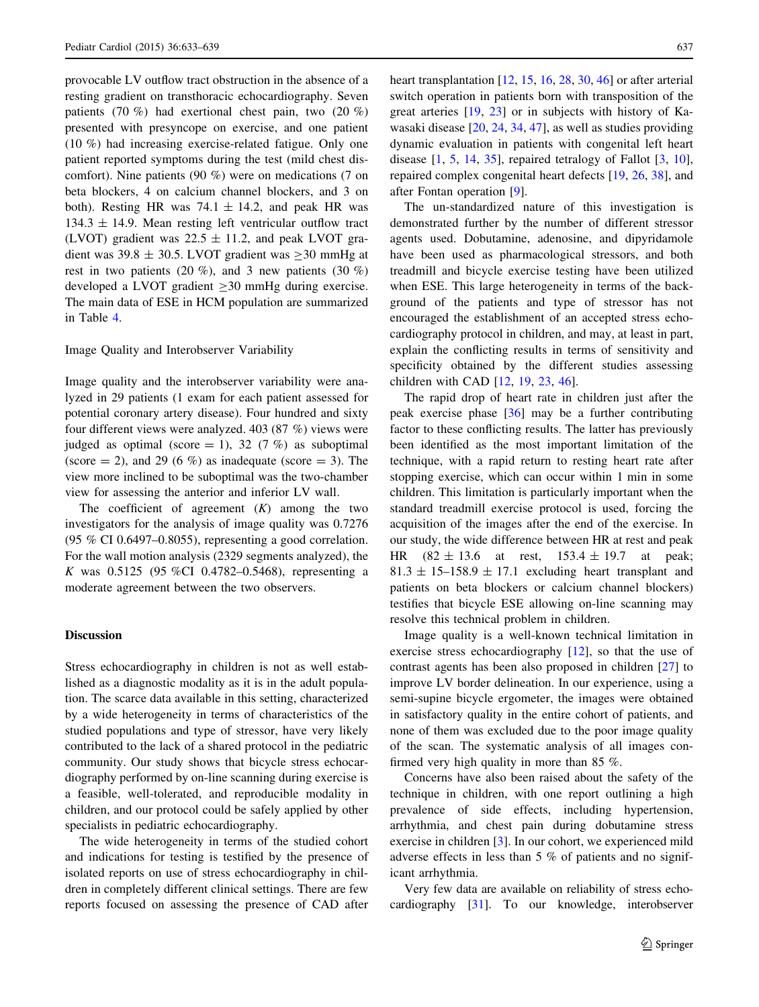provocable LV outflow tract obstruction in the absence of a resting gradient on transthoracic echocardiography. Seven patients (70 %) had exertional chest pain, two (20 %) presented with presyncope on exercise, and one patient (10 %) had increasing exercise-related fatigue. Only one patient reported symptoms during the test (mild chest discomfort). Nine patients (90 %) were on medications (7 on beta blockers, 4 on calcium channel blockers, and 3 on both). Resting HR was  $74.1 \pm 14.2$ , and peak HR was  $134.3 \pm 14.9$ . Mean resting left ventricular outflow tract (LVOT) gradient was  $22.5 \pm 11.2$ , and peak LVOT gradient was 39.8  $\pm$  30.5. LVOT gradient was  $\geq$ 30 mmHg at rest in two patients  $(20 \%)$ , and 3 new patients  $(30 \%)$ developed a LVOT gradient  $\geq$ 30 mmHg during exercise. The main data of ESE in HCM population are summarized in Table [4](#page-3-0).

# Image Quality and Interobserver Variability

Image quality and the interobserver variability were analyzed in 29 patients (1 exam for each patient assessed for potential coronary artery disease). Four hundred and sixty four different views were analyzed. 403 (87 %) views were judged as optimal (score = 1), 32 (7 %) as suboptimal (score  $= 2$ ), and 29 (6 %) as inadequate (score  $= 3$ ). The view more inclined to be suboptimal was the two-chamber view for assessing the anterior and inferior LV wall.

The coefficient of agreement  $(K)$  among the two investigators for the analysis of image quality was 0.7276 (95 % CI 0.6497–0.8055), representing a good correlation. For the wall motion analysis (2329 segments analyzed), the K was 0.5125 (95 %CI 0.4782–0.5468), representing a moderate agreement between the two observers.

## **Discussion**

Stress echocardiography in children is not as well established as a diagnostic modality as it is in the adult population. The scarce data available in this setting, characterized by a wide heterogeneity in terms of characteristics of the studied populations and type of stressor, have very likely contributed to the lack of a shared protocol in the pediatric community. Our study shows that bicycle stress echocardiography performed by on-line scanning during exercise is a feasible, well-tolerated, and reproducible modality in children, and our protocol could be safely applied by other specialists in pediatric echocardiography.

The wide heterogeneity in terms of the studied cohort and indications for testing is testified by the presence of isolated reports on use of stress echocardiography in children in completely different clinical settings. There are few reports focused on assessing the presence of CAD after heart transplantation [[12,](#page-6-0) [15,](#page-6-0) [16,](#page-6-0) [28,](#page-6-0) [30,](#page-6-0) [46](#page-6-0)] or after arterial switch operation in patients born with transposition of the great arteries [\[19,](#page-6-0) [23](#page-6-0)] or in subjects with history of Kawasaki disease [[20,](#page-6-0) [24,](#page-6-0) [34,](#page-6-0) [47\]](#page-6-0), as well as studies providing dynamic evaluation in patients with congenital left heart disease [[1,](#page-5-0) [5](#page-5-0), [14](#page-6-0), [35](#page-6-0)], repaired tetralogy of Fallot [\[3](#page-5-0), [10](#page-5-0)], repaired complex congenital heart defects [[19,](#page-6-0) [26](#page-6-0), [38](#page-6-0)], and after Fontan operation [\[9](#page-5-0)].

The un-standardized nature of this investigation is demonstrated further by the number of different stressor agents used. Dobutamine, adenosine, and dipyridamole have been used as pharmacological stressors, and both treadmill and bicycle exercise testing have been utilized when ESE. This large heterogeneity in terms of the background of the patients and type of stressor has not encouraged the establishment of an accepted stress echocardiography protocol in children, and may, at least in part, explain the conflicting results in terms of sensitivity and specificity obtained by the different studies assessing children with CAD [\[12](#page-6-0), [19,](#page-6-0) [23,](#page-6-0) [46](#page-6-0)].

The rapid drop of heart rate in children just after the peak exercise phase [[36\]](#page-6-0) may be a further contributing factor to these conflicting results. The latter has previously been identified as the most important limitation of the technique, with a rapid return to resting heart rate after stopping exercise, which can occur within 1 min in some children. This limitation is particularly important when the standard treadmill exercise protocol is used, forcing the acquisition of the images after the end of the exercise. In our study, the wide difference between HR at rest and peak HR  $(82 \pm 13.6)$  at rest,  $153.4 \pm 19.7$  at peak;  $81.3 \pm 15$ –158.9  $\pm$  17.1 excluding heart transplant and patients on beta blockers or calcium channel blockers) testifies that bicycle ESE allowing on-line scanning may resolve this technical problem in children.

Image quality is a well-known technical limitation in exercise stress echocardiography [\[12](#page-6-0)], so that the use of contrast agents has been also proposed in children [[27\]](#page-6-0) to improve LV border delineation. In our experience, using a semi-supine bicycle ergometer, the images were obtained in satisfactory quality in the entire cohort of patients, and none of them was excluded due to the poor image quality of the scan. The systematic analysis of all images confirmed very high quality in more than 85 %.

Concerns have also been raised about the safety of the technique in children, with one report outlining a high prevalence of side effects, including hypertension, arrhythmia, and chest pain during dobutamine stress exercise in children [\[3](#page-5-0)]. In our cohort, we experienced mild adverse effects in less than 5 % of patients and no significant arrhythmia.

Very few data are available on reliability of stress echocardiography [\[31](#page-6-0)]. To our knowledge, interobserver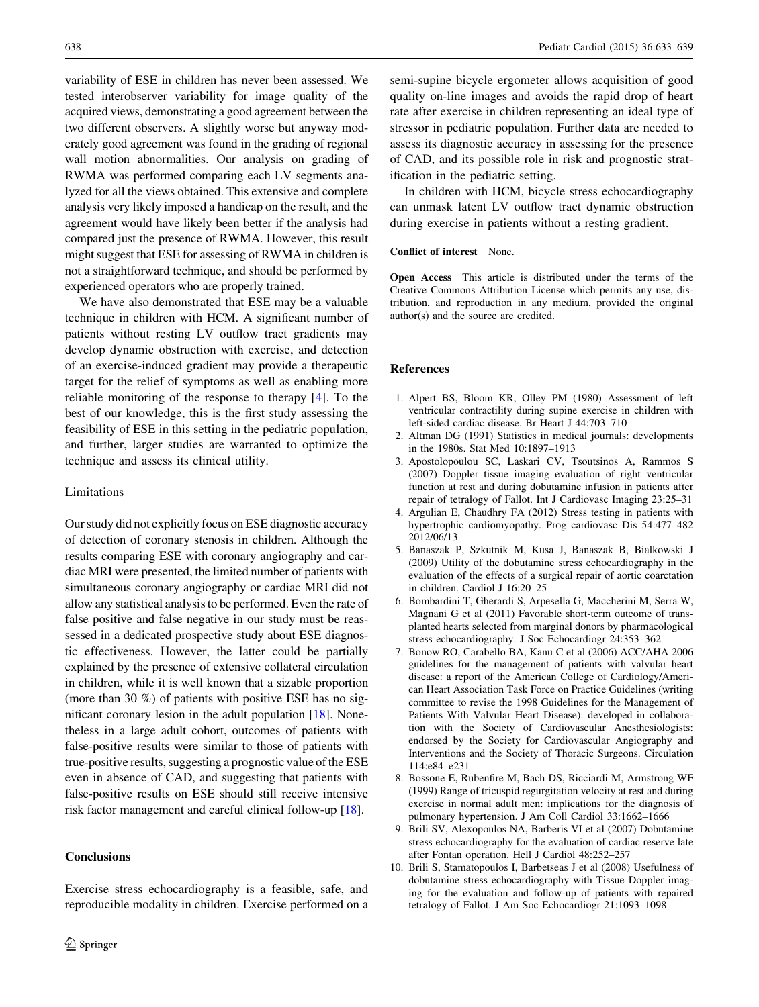<span id="page-5-0"></span>variability of ESE in children has never been assessed. We tested interobserver variability for image quality of the acquired views, demonstrating a good agreement between the two different observers. A slightly worse but anyway moderately good agreement was found in the grading of regional wall motion abnormalities. Our analysis on grading of RWMA was performed comparing each LV segments analyzed for all the views obtained. This extensive and complete analysis very likely imposed a handicap on the result, and the agreement would have likely been better if the analysis had compared just the presence of RWMA. However, this result might suggest that ESE for assessing of RWMA in children is not a straightforward technique, and should be performed by experienced operators who are properly trained.

We have also demonstrated that ESE may be a valuable technique in children with HCM. A significant number of patients without resting LV outflow tract gradients may develop dynamic obstruction with exercise, and detection of an exercise-induced gradient may provide a therapeutic target for the relief of symptoms as well as enabling more reliable monitoring of the response to therapy [4]. To the best of our knowledge, this is the first study assessing the feasibility of ESE in this setting in the pediatric population, and further, larger studies are warranted to optimize the technique and assess its clinical utility.

# Limitations

Our study did not explicitly focus on ESE diagnostic accuracy of detection of coronary stenosis in children. Although the results comparing ESE with coronary angiography and cardiac MRI were presented, the limited number of patients with simultaneous coronary angiography or cardiac MRI did not allow any statistical analysis to be performed. Even the rate of false positive and false negative in our study must be reassessed in a dedicated prospective study about ESE diagnostic effectiveness. However, the latter could be partially explained by the presence of extensive collateral circulation in children, while it is well known that a sizable proportion (more than 30 %) of patients with positive ESE has no significant coronary lesion in the adult population [[18\]](#page-6-0). Nonetheless in a large adult cohort, outcomes of patients with false-positive results were similar to those of patients with true-positive results, suggesting a prognostic value of the ESE even in absence of CAD, and suggesting that patients with false-positive results on ESE should still receive intensive risk factor management and careful clinical follow-up [\[18](#page-6-0)].

# **Conclusions**

semi-supine bicycle ergometer allows acquisition of good quality on-line images and avoids the rapid drop of heart rate after exercise in children representing an ideal type of stressor in pediatric population. Further data are needed to assess its diagnostic accuracy in assessing for the presence of CAD, and its possible role in risk and prognostic stratification in the pediatric setting.

In children with HCM, bicycle stress echocardiography can unmask latent LV outflow tract dynamic obstruction during exercise in patients without a resting gradient.

#### Conflict of interest None.

Open Access This article is distributed under the terms of the Creative Commons Attribution License which permits any use, distribution, and reproduction in any medium, provided the original author(s) and the source are credited.

# References

- 1. Alpert BS, Bloom KR, Olley PM (1980) Assessment of left ventricular contractility during supine exercise in children with left-sided cardiac disease. Br Heart J 44:703–710
- 2. Altman DG (1991) Statistics in medical journals: developments in the 1980s. Stat Med 10:1897–1913
- 3. Apostolopoulou SC, Laskari CV, Tsoutsinos A, Rammos S (2007) Doppler tissue imaging evaluation of right ventricular function at rest and during dobutamine infusion in patients after repair of tetralogy of Fallot. Int J Cardiovasc Imaging 23:25–31
- 4. Argulian E, Chaudhry FA (2012) Stress testing in patients with hypertrophic cardiomyopathy. Prog cardiovasc Dis 54:477–482 2012/06/13
- 5. Banaszak P, Szkutnik M, Kusa J, Banaszak B, Bialkowski J (2009) Utility of the dobutamine stress echocardiography in the evaluation of the effects of a surgical repair of aortic coarctation in children. Cardiol J 16:20–25
- 6. Bombardini T, Gherardi S, Arpesella G, Maccherini M, Serra W, Magnani G et al (2011) Favorable short-term outcome of transplanted hearts selected from marginal donors by pharmacological stress echocardiography. J Soc Echocardiogr 24:353–362
- 7. Bonow RO, Carabello BA, Kanu C et al (2006) ACC/AHA 2006 guidelines for the management of patients with valvular heart disease: a report of the American College of Cardiology/American Heart Association Task Force on Practice Guidelines (writing committee to revise the 1998 Guidelines for the Management of Patients With Valvular Heart Disease): developed in collaboration with the Society of Cardiovascular Anesthesiologists: endorsed by the Society for Cardiovascular Angiography and Interventions and the Society of Thoracic Surgeons. Circulation 114:e84–e231
- 8. Bossone E, Rubenfire M, Bach DS, Ricciardi M, Armstrong WF (1999) Range of tricuspid regurgitation velocity at rest and during exercise in normal adult men: implications for the diagnosis of pulmonary hypertension. J Am Coll Cardiol 33:1662–1666
- 9. Brili SV, Alexopoulos NA, Barberis VI et al (2007) Dobutamine stress echocardiography for the evaluation of cardiac reserve late after Fontan operation. Hell J Cardiol 48:252–257
- 10. Brili S, Stamatopoulos I, Barbetseas J et al (2008) Usefulness of dobutamine stress echocardiography with Tissue Doppler imaging for the evaluation and follow-up of patients with repaired tetralogy of Fallot. J Am Soc Echocardiogr 21:1093–1098